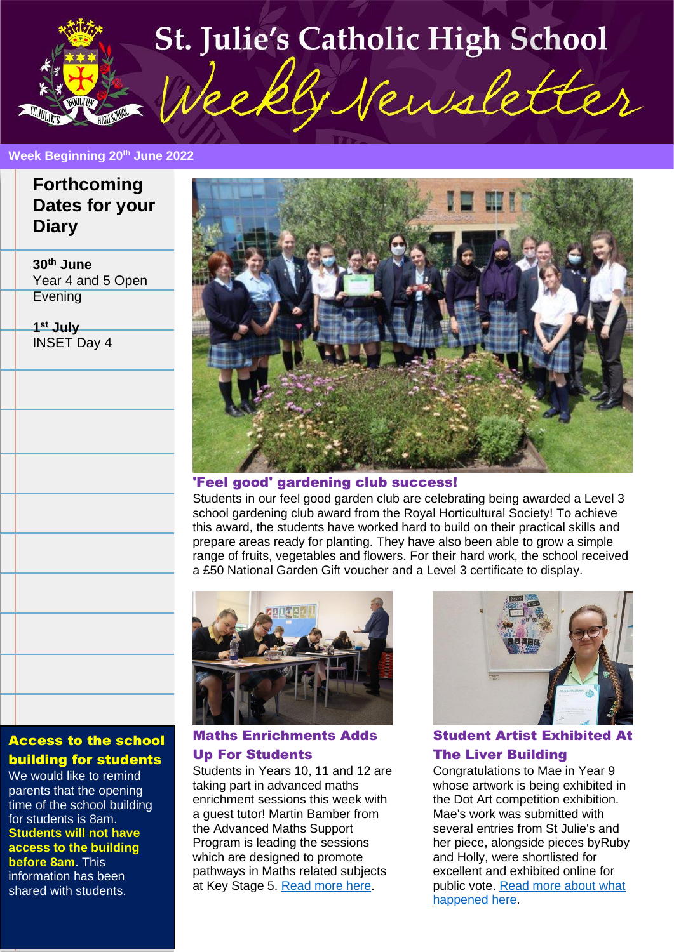

#### **Week Beginning 20th June 2022**

**J December 2021** 

#### **Forthcoming Dates for your Diary**

**30th June** Year 4 and 5 Open **Evening** 

**1 st July** INSET Day 4



#### 'Feel good' gardening club success!

Students in our feel good garden club are celebrating being awarded a Level 3 school gardening club award from the Royal Horticultural Society! To achieve this award, the students have worked hard to build on their practical skills and prepare areas ready for planting. They have also been able to grow a simple range of fruits, vegetables and flowers. For their hard work, the school received a £50 National Garden Gift voucher and a Level 3 certificate to display.



Maths Enrichments Adds Up For Students

Students in Years 10, 11 and 12 are taking part in advanced maths enrichment sessions this week with a guest tutor! Martin Bamber from the Advanced Maths Support Program is leading the sessions which are designed to promote pathways in Maths related subjects at Key Stage 5. [Read more here.](https://www.stjulies.org.uk/news/3362/15/Maths-Enrichments-Adds-Up-For-Students/d,new_detail.html)



Student Artist Exhibited At The Liver Building

Congratulations to Mae in Year 9 whose artwork is being exhibited in the Dot Art competition exhibition. Mae's work was submitted with several entries from St Julie's and her piece, alongside pieces byRuby and Holly, were shortlisted for excellent and exhibited online for public vote. [Read more about what](https://www.stjulies.org.uk/news/3364/15/Student-Artist-Exhibited-At-The-Liver-Building/d,new_detail.html)  [happened here.](https://www.stjulies.org.uk/news/3364/15/Student-Artist-Exhibited-At-The-Liver-Building/d,new_detail.html)

#### Access to the school building for students

We would like to remind parents that the opening time of the school building for students is 8am. **Students will not have access to the building before 8am**. This information has been shared with students.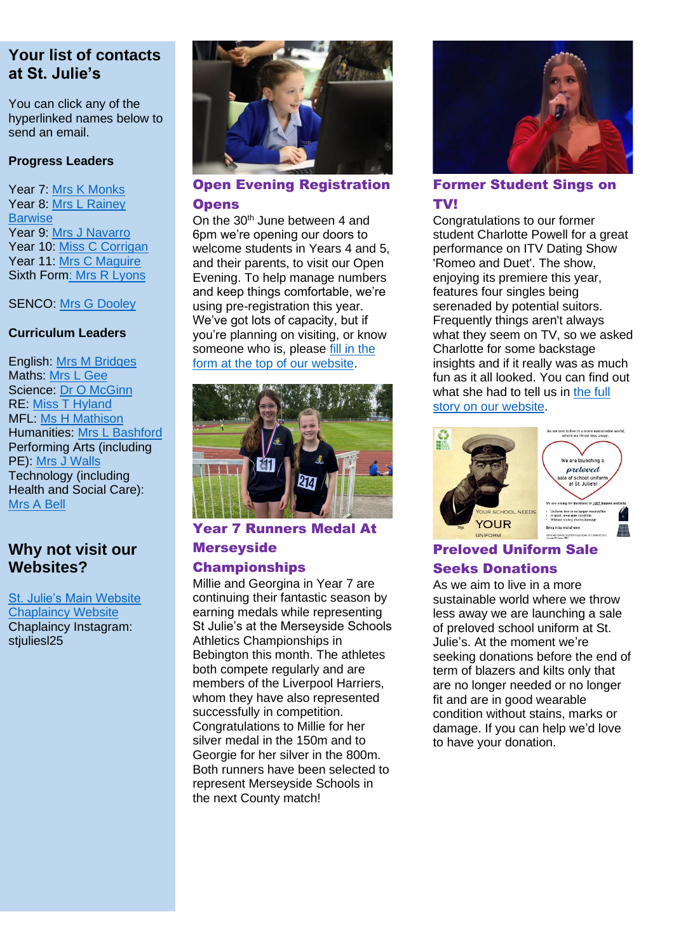#### **Your list of contacts at St. Julie's**

You can click any of the hyperlinked names below to send an email.

#### **Progress Leaders**

Year 7: [Mrs K Monks](mailto:kmonks@stjulies.org.uk) Year 8: [Mrs L Rainey](mailto:lrainey@stjulies.org.uk)  **[Barwise](mailto:lrainey@stjulies.org.uk)** Year 9: [Mrs J Navarro](mailto:jnavarro@stjulies.org.uk) Year 10: [Miss C Corrigan](mailto:ccorrigan@stjulies.org.uk) Year 11: [Mrs C Maguire](mailto:cpeers@stjulies.org.uk) Sixth For[m: Mrs R Lyons](mailto:rkelly@stjulies.org.uk)

#### SENCO: [Mrs G Dooley](mailto:gdooley@stjulies.org.uk)

#### **Curriculum Leaders**

English: [Mrs M Bridges](mailto:mbridges@stjulies.org.uk) Maths: [Mrs L Gee](mailto:lgee@stjulies.org.uk) Science: [Dr O McGinn](mailto:omcginn@stjulies.org.uk) RE: [Miss T Hyland](mailto:thyland@stjulies.org.uk) MFL: [Ms H Mathison](mailto:hemathison@stjulies.org.uk) Humanities: [Mrs L Bashford](mailto:lbashford@stjulies.org.uk) Performing Arts (including PE): [Mrs J Walls](mailto:jwalls@stjulies.org.uk) Technology (including Health and Social Care): [Mrs](mailto:abell@stjulies.org.uk) A Bell

#### **Why not visit our Websites?**

[St. Julie's Main Website](http://www.stjulies.org.uk/) [Chaplaincy Website](http://chaplaincy.stjulies.org.uk/) Chaplaincy Instagram: stiuliesl25



#### Open Evening Registration **Opens**

On the 30<sup>th</sup> June between 4 and 6pm we're opening our doors to welcome students in Years 4 and 5, and their parents, to visit our Open Evening. To help manage numbers and keep things comfortable, we're using pre-registration this year. We've got lots of capacity, but if you're planning on visiting, or know someone who is, please fill in the [form at the top of our website.](https://forms.office.com/r/e0QdhtjfUJ)



#### Year 7 Runners Medal At **Merseyside**

#### Championships

Millie and Georgina in Year 7 are continuing their fantastic season by earning medals while representing St Julie's at the Merseyside Schools Athletics Championships in Bebington this month. The athletes both compete regularly and are members of the Liverpool Harriers, whom they have also represented successfully in competition. Congratulations to Millie for her silver medal in the 150m and to Georgie for her silver in the 800m. Both runners have been selected to represent Merseyside Schools in the next County match!



#### Former Student Sings on TV!

Congratulations to our former student Charlotte Powell for a great performance on ITV Dating Show 'Romeo and Duet'. The show, enjoying its premiere this year, features four singles being serenaded by potential suitors. Frequently things aren't always what they seem on TV, so we asked Charlotte for some backstage insights and if it really was as much fun as it all looked. You can find out what she had to tell us in the full [story on our website.](https://www.stjulies.org.uk/news/3365/15/Former-Student-Sings-on-TV/d,new_detail.html)



#### Preloved Uniform Sale

#### Seeks Donations

As we aim to live in a more sustainable world where we throw less away we are launching a sale of preloved school uniform at St. Julie's. At the moment we're seeking donations before the end of term of blazers and kilts only that are no longer needed or no longer fit and are in good wearable condition without stains, marks or damage. If you can help we'd love to have your donation.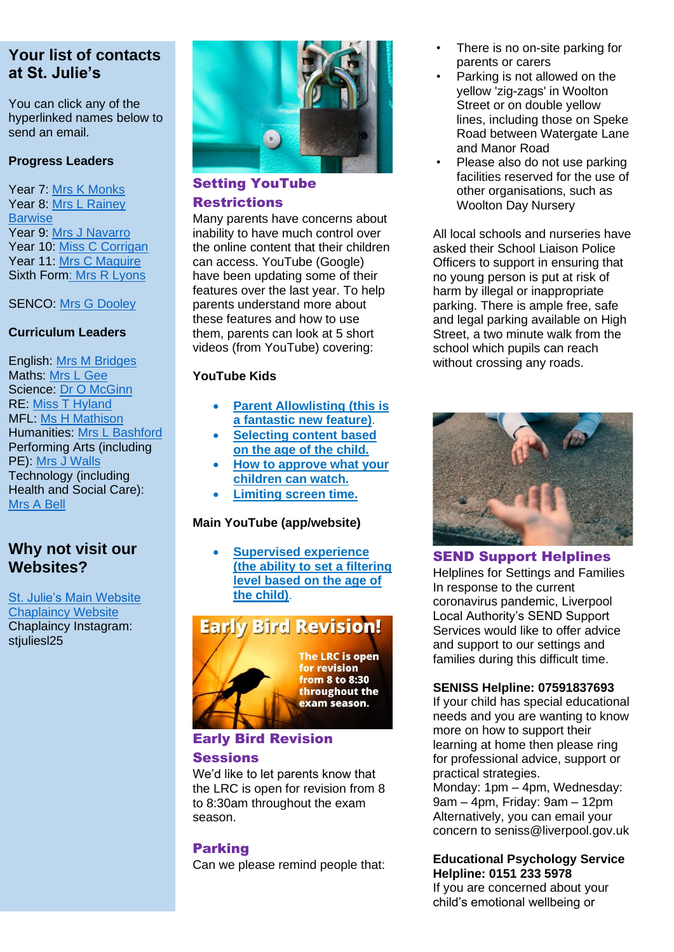#### **Your list of contacts at St. Julie's**

You can click any of the hyperlinked names below to send an email.

#### **Progress Leaders**

Year 7: [Mrs K Monks](mailto:kmonks@stjulies.org.uk) Year 8: [Mrs L Rainey](mailto:lrainey@stjulies.org.uk)  **[Barwise](mailto:lrainey@stjulies.org.uk)** Year 9: [Mrs J Navarro](mailto:jnavarro@stjulies.org.uk) Year 10: [Miss C Corrigan](mailto:ccorrigan@stjulies.org.uk) Year 11: [Mrs C Maguire](mailto:cpeers@stjulies.org.uk) Sixth For[m: Mrs R Lyons](mailto:rkelly@stjulies.org.uk)

#### SENCO: [Mrs G Dooley](mailto:gdooley@stjulies.org.uk)

#### **Curriculum Leaders**

English: [Mrs M Bridges](mailto:mbridges@stjulies.org.uk) Maths: [Mrs L Gee](mailto:lgee@stjulies.org.uk) Science: [Dr O McGinn](mailto:omcginn@stjulies.org.uk) RE: [Miss T Hyland](mailto:thyland@stjulies.org.uk) MFL: [Ms H Mathison](mailto:hemathison@stjulies.org.uk) Humanities: [Mrs L Bashford](mailto:lbashford@stjulies.org.uk) Performing Arts (including PE): [Mrs J Walls](mailto:jwalls@stjulies.org.uk) Technology (including Health and Social Care): [Mrs](mailto:abell@stjulies.org.uk) A Bell

#### **Why not visit our Websites?**

[St. Julie's Main Website](http://www.stjulies.org.uk/) **[Chaplaincy Website](http://chaplaincy.stjulies.org.uk/)** Chaplaincy Instagram: stiulies 25



#### Setting YouTube Restrictions

Many parents have concerns about inability to have much control over the online content that their children can access. YouTube (Google) have been updating some of their features over the last year. To help parents understand more about these features and how to use them, parents can look at 5 short videos (from YouTube) covering:

#### **YouTube Kids**

- **Parent [Allowlisting](https://www.youtube.com/watch?v=eVYsgC7-6ZM&feature=emb_imp_woyt) (this is a [fantastic](https://www.youtube.com/watch?v=eVYsgC7-6ZM&feature=emb_imp_woyt) new feature)**.
- **[Selecting](https://www.youtube.com/watch?v=mH6ccT2w3wg&feature=emb_imp_woyt) content based on the age of the [child.](https://www.youtube.com/watch?v=mH6ccT2w3wg&feature=emb_imp_woyt)**
- **How to [approve](https://www.youtube.com/watch?v=NtrlvqztMcQ&feature=emb_imp_woyt) what your [children](https://www.youtube.com/watch?v=NtrlvqztMcQ&feature=emb_imp_woyt) can watch.**
- **[Limiting](https://www.youtube.com/watch?v=c8Syszbb_ag&feature=emb_imp_woyt) screen time.**

#### **Main YouTube (app/website)**

• **[Supervised](https://www.youtube.com/watch?v=nhgvtv3FLSc&feature=emb_imp_woyt) experience (the ability to set a [filtering](https://www.youtube.com/watch?v=nhgvtv3FLSc&feature=emb_imp_woyt) level [based](https://www.youtube.com/watch?v=nhgvtv3FLSc&feature=emb_imp_woyt) on the age of the [child\)](https://www.youtube.com/watch?v=nhgvtv3FLSc&feature=emb_imp_woyt)**.

### **Early Bird Revision!**



The LRC is open for revision **from 8 to 8:30** throughout the exam season.

#### Early Bird Revision

#### **Sessions**

We'd like to let parents know that the LRC is open for revision from 8 to 8:30am throughout the exam season.

#### Parking

Can we please remind people that:

- There is no on-site parking for parents or carers
- Parking is not allowed on the yellow 'zig-zags' in Woolton Street or on double yellow lines, including those on Speke Road between Watergate Lane and Manor Road
- Please also do not use parking facilities reserved for the use of other organisations, such as Woolton Day Nursery

All local schools and nurseries have asked their School Liaison Police Officers to support in ensuring that no young person is put at risk of harm by illegal or inappropriate parking. There is ample free, safe and legal parking available on High Street, a two minute walk from the school which pupils can reach without crossing any roads.



#### SEND Support Helplines

Helplines for Settings and Families In response to the current coronavirus pandemic, Liverpool Local Authority's SEND Support Services would like to offer advice and support to our settings and families during this difficult time.

#### **SENISS Helpline: 07591837693**

If your child has special educational needs and you are wanting to know more on how to support their learning at home then please ring for professional advice, support or practical strategies.

Monday: 1pm – 4pm, Wednesday: 9am – 4pm, Friday: 9am – 12pm Alternatively, you can email your concern to seniss@liverpool.gov.uk

#### **Educational Psychology Service Helpline: 0151 233 5978** If you are concerned about your child's emotional wellbeing or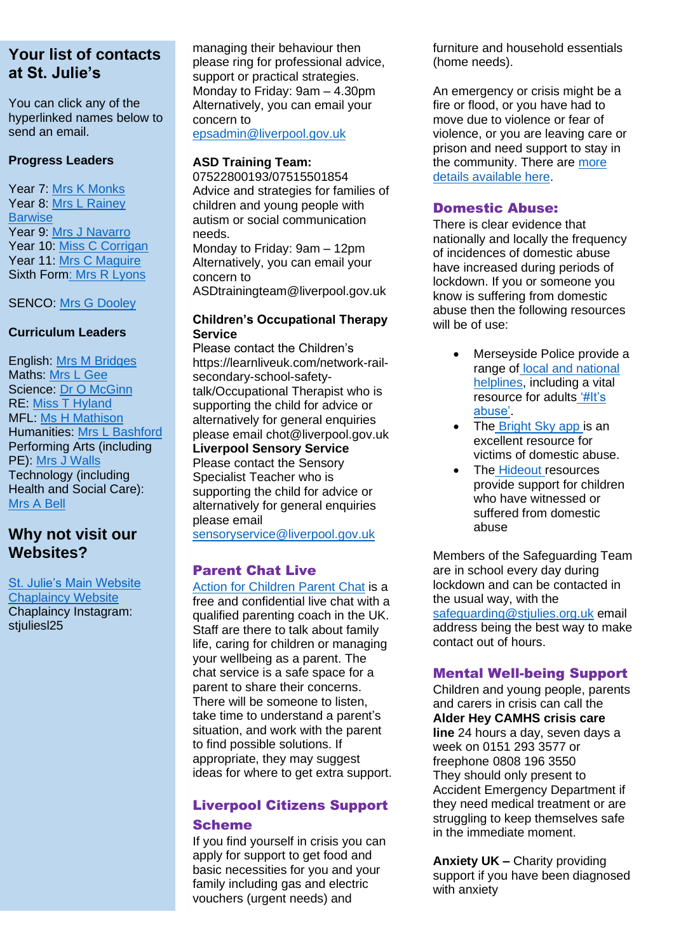#### **Your list of contacts at St. Julie's**

You can click any of the hyperlinked names below to send an email.

#### **Progress Leaders**

Year 7: [Mrs K Monks](mailto:kmonks@stjulies.org.uk) Year 8: [Mrs L Rainey](mailto:lrainey@stjulies.org.uk)  **[Barwise](mailto:lrainey@stjulies.org.uk)** Year 9: [Mrs J Navarro](mailto:jnavarro@stjulies.org.uk) Year 10: [Miss C Corrigan](mailto:ccorrigan@stjulies.org.uk) Year 11: [Mrs C Maguire](mailto:cpeers@stjulies.org.uk) Sixth For[m: Mrs R Lyons](mailto:rkelly@stjulies.org.uk)

SENCO: [Mrs G Dooley](mailto:gdooley@stjulies.org.uk)

#### **Curriculum Leaders**

English: [Mrs M Bridges](mailto:mbridges@stjulies.org.uk) Maths: [Mrs L Gee](mailto:lgee@stjulies.org.uk) Science: [Dr O McGinn](mailto:omcginn@stjulies.org.uk) RE: [Miss T Hyland](mailto:thyland@stjulies.org.uk) MFL: [Ms H Mathison](mailto:hemathison@stjulies.org.uk) Humanities: [Mrs L Bashford](mailto:lbashford@stjulies.org.uk) Performing Arts (including PE): [Mrs J Walls](mailto:jwalls@stjulies.org.uk) Technology (including Health and Social Care): [Mrs](mailto:abell@stjulies.org.uk) A Bell

#### **Why not visit our Websites?**

[St. Julie's Main Website](http://www.stjulies.org.uk/) **[Chaplaincy Website](http://chaplaincy.stjulies.org.uk/)** Chaplaincy Instagram: stiulies 25

managing their behaviour then please ring for professional advice, support or practical strategies. Monday to Friday: 9am – 4.30pm Alternatively, you can email your concern to

[epsadmin@liverpool.gov.uk](mailto:epsadmin@liverpool.gov.uk)

#### **ASD Training Team:**

07522800193/07515501854 Advice and strategies for families of children and young people with autism or social communication needs.

Monday to Friday: 9am – 12pm Alternatively, you can email your concern to

ASDtrainingteam@liverpool.gov.uk

#### **Children's Occupational Therapy Service**

Please contact the Children's https://learnliveuk.com/network-railsecondary-school-safetytalk/Occupational Therapist who is supporting the child for advice or alternatively for general enquiries please email chot@liverpool.gov.uk

**Liverpool Sensory Service** Please contact the Sensory Specialist Teacher who is

supporting the child for advice or alternatively for general enquiries please email

[sensoryservice@liverpool.gov.uk](mailto:sensoryservice@liverpool.gov.uk)

#### Parent Chat Live

[Action for Children Parent Chat](https://parents.actionforchildren.org.uk/chat/) is a free and confidential live chat with a qualified parenting coach in the UK. Staff are there to talk about family life, caring for children or managing your wellbeing as a parent. The chat service is a safe space for a parent to share their concerns. There will be someone to listen, take time to understand a parent's situation, and work with the parent to find possible solutions. If appropriate, they may suggest ideas for where to get extra support.

#### Liverpool Citizens Support Scheme

If you find yourself in crisis you can apply for support to get food and basic necessities for you and your family including gas and electric vouchers (urgent needs) and

furniture and household essentials (home needs).

An emergency or crisis might be a fire or flood, or you have had to move due to violence or fear of violence, or you are leaving care or prison and need support to stay in the community. There are more [details available here.](http://media.stjulies.org.uk/newsletters/liverpoolcitizensupportscheme.pdf)

#### Domestic Abuse:

There is clear evidence that nationally and locally the frequency of incidences of domestic abuse have increased during periods of lockdown. If you or someone you know is suffering from domestic abuse then the following resources will be of use:

- Merseyside Police provide a range of local and national [helplines,](https://www.merseyside.police.uk/advice/advice-and-information/daa/domestic-abuse/support-helplines/) including a vital resource for adults ['#It's](https://www.merseyside.police.uk/SysSiteAssets/foi-media/merseyside/other_information/domestic_absue_advice_and_guidance_booklet.pdf)  [abuse'.](https://www.merseyside.police.uk/SysSiteAssets/foi-media/merseyside/other_information/domestic_absue_advice_and_guidance_booklet.pdf)
- The [Bright Sky app i](https://www.hestia.org/brightsky)s an excellent resource for victims of domestic abuse.
- The [Hideout r](https://thehideout.org.uk/)esources provide support for children who have witnessed or suffered from domestic abuse

Members of the Safeguarding Team are in school every day during lockdown and can be contacted in the usual way, with the [safeguarding@stjulies.org.uk](mailto:safeguarding@stjulies.org.uk) email address being the best way to make contact out of hours.

#### Mental Well-being Support

Children and young people, parents and carers in crisis can call the **[Alder Hey](https://liverpoolcamhs.us12.list-manage.com/track/click?u=29d06172a566a7a062c8c4b01&id=56a6387968&e=0492b55394) CAMHS [crisis care](https://liverpoolcamhs.us12.list-manage.com/track/click?u=29d06172a566a7a062c8c4b01&id=aadc5bd72c&e=0492b55394) line** 24 hours a day, seven days a week on 0151 293 3577 or freephone 0808 196 3550 They should only present to Accident Emergency Department if they need medical treatment or are struggling to keep themselves safe in the immediate moment.

**Anxiety UK –** Charity providing support if you have been diagnosed with anxiety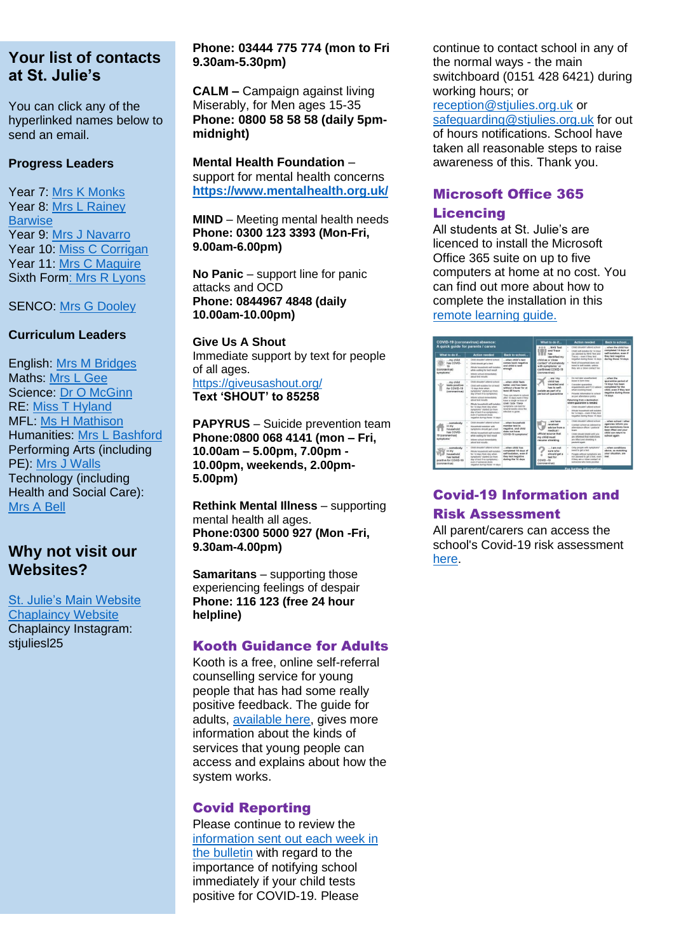#### **Your list of contacts Your list of contacts at St. Julie's at St. Julie's**

You can click any of the You can click any of the hyperlinked names below to hyperlinked names below to send an email. send an email.

#### **Progress Leaders Progress Leaders**

Year 7: [Mrs K Monks](mailto:kmonks@stjulies.org.uk) Year 8: Mrs L Rainey [Barwise](mailto:lrainey@stjulies.org.uk) [Barwise](mailto:lrainey@stjulies.org.uk) Year 9: [Mrs J Navarro](mailto:jnavarro@stjulies.org.uk) Year 10: [Miss C Corrigan](mailto:ccorrigan@stjulies.org.uk) Year 11: [Mrs C Maguire](mailto:cpeers@stjulies.org.uk) Sixth For[m: Mrs R Lyons](mailto:rkelly@stjulies.org.uk) Sixth For[m: Mrs R Lyons](mailto:rkelly@stjulies.org.uk)

SENCO: [Mrs G Dooley](mailto:gdooley@stjulies.org.uk)

#### **Curriculum Leaders Curriculum Leaders**

English: [Mrs M Bridges](mailto:mbridges@stjulies.org.uk) Maths: [Mrs L Gee](mailto:lgee@stjulies.org.uk) Science: [Dr O McGinn](mailto:omcginn@stjulies.org.uk) RE: [Miss T Hyland](mailto:thyland@stjulies.org.uk) RE: [Miss T Hyland](mailto:thyland@stjulies.org.uk) MFL: [Ms H Mathison](mailto:hemathison@stjulies.org.uk) Humanities: [Mrs L Bashford](mailto:lbashford@stjulies.org.uk) Humanities: [Mrs L Bashford](mailto:lbashford@stjulies.org.uk) Performing Arts (including Performing Arts (including PE): [Mrs J Walls](mailto:jwalls@stjulies.org.uk) Technology (including Technology (including Health and Social Care): Health and Social Care): [Mrs](mailto:abell@stjulies.org.uk) A Bell [Mrs](mailto:abell@stjulies.org.uk) A Bell

#### **Why not visit our Why not visit our Websites? Websites?**

[St. Julie's Main Website](http://www.stjulies.org.uk/) [St. Julie's Main Website](http://www.stjulies.org.uk/) [Chaplaincy Website](http://chaplaincy.stjulies.org.uk/) [Chaplaincy Website](http://chaplaincy.stjulies.org.uk/) Chaplaincy Instagram: Chaplaincy Instagram: stjuliesl25 stjuliesl25

#### **Phone: 03444 775 774 (mon to Fri 9.30am-5.30pm)**

**CALM –** Campaign against living Miserably, for Men ages 15-35 **Phone: 0800 58 58 58 (daily 5pmmidnight)**

**Mental Health Foundation** – support for mental health concerns **<https://www.mentalhealth.org.uk/>**

**MIND** – Meeting mental health needs **Phone: 0300 123 3393 (Mon-Fri, 9.00am-6.00pm)**

**No Panic** – support line for panic attacks and OCD **Phone: 0844967 4848 (daily 10.00am-10.00pm)**

**Give Us A Shout** Immediate support by text for people of all ages. <https://giveusashout.org/> **Text 'SHOUT' to 85258**

**PAPYRUS** – Suicide prevention team **Phone:0800 068 4141 (mon – Fri, 10.00am – 5.00pm, 7.00pm - 10.00pm, weekends, 2.00pm-5.00pm)**

**Rethink Mental Illness** – supporting mental health all ages. **Phone:0300 5000 927 (Mon -Fri, 9.30am-4.00pm)**

**Samaritans** – supporting those experiencing feelings of despair **Phone: 116 123 (free 24 hour helpline)**

#### Kooth Guidance for Adults

Kooth is a free, online self-referral counselling service for young people that has had some really positive feedback. The guide for adults, [available here,](https://www.stjulies.org.uk/uploads/File/2020/Kooth-FAQs_Adults.pdf) gives more information about the kinds of services that young people can access and explains about how the system works.

#### Covid Reporting

Please continue to review the [information sent out each week in](https://media.stjulies.org.uk/newsletters/covid19reporting.pdf)  [the bulletin](https://media.stjulies.org.uk/newsletters/covid19reporting.pdf) with regard to the importance of notifying school immediately if your child tests positive for COVID-19. Please

continue to contact school in any of the normal ways - the main switchboard (0151 428 6421) during working hours; or [reception@stjulies.org.uk](mailto:reception@stjulies.org.uk) or safeguarding@stiulies.org.uk for out of hours notifications. School have taken all reasonable steps to raise awareness of this. Thank you.

#### Microsoft Office 365

#### **Licencing**

All students at St. Julie's are licenced to install the Microsoft Office 365 suite on up to five computers at home at no cost. You can find out more about how to complete the installation in this [remote learning guide.](http://media.stjulies.org.uk/newsletters/remotelearningguide.pdf)



#### Covid-19 Information and Risk Assessment

All parent/carers can access the school's Covid-19 risk assessment [here.](https://www.stjulies.org.uk/uploads/File/policies/covid_19_risk_assessment_210910.pdf)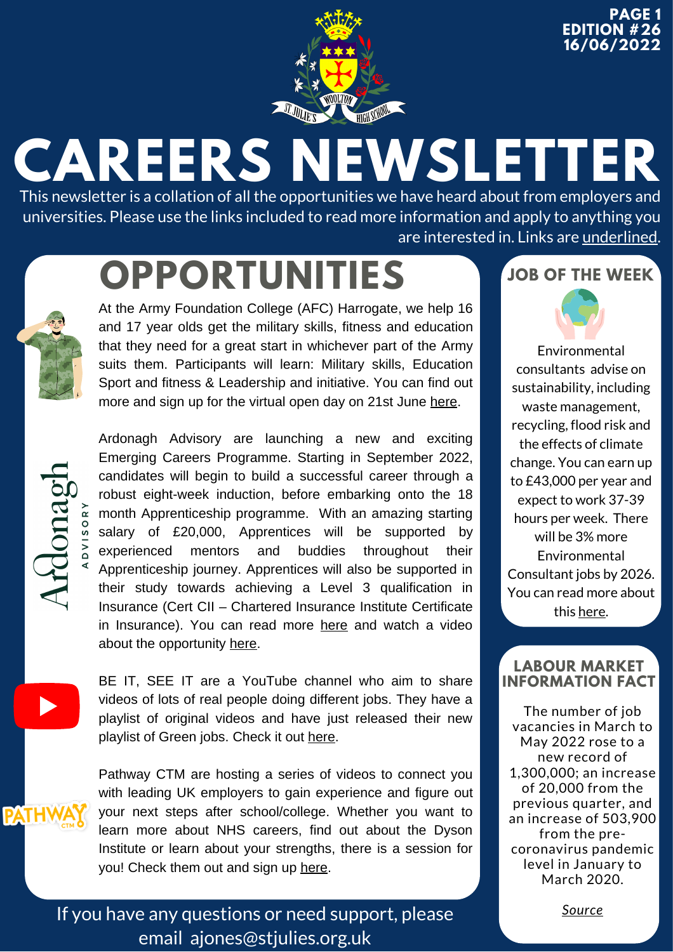

**PAGE 1 EDITION #26 16/06/2022**

## **CAREERS NEWSLETTER**

This newsletter is a collation of all the opportunities we have heard about from employers and universities. Please use the links included to read more information and apply to anything you are interested in. Links are underlined.

## **OPPORTUNITIES JOB OF THE WEEK**



At the Army Foundation College (AFC) Harrogate, we help 16 and 17 year olds get the military skills, fitness and education that they need for a great start in whichever part of the Army suits them. Participants will learn: Military skills, Education Sport and fitness & Leadership and initiative. You can find out more and sign up for the virtual open day on 21st June [here](https://apply.army.mod.uk/what-we-offer/regular-soldier/training/afcharrogate?cid=mail9647728563&gator_td=gf8QuJdaEx9tInsb95USxFeVUvH2tn%2bvf6vJRFBwThuFnYJuY5JEEkRNJKDenMfgDFw207j9sXGKMz5FgELa%2ff%2flhdCLeHlvmqVdeGauUId3jmHJDen0Ph9%2fhDOFDXtiD1uTBAu23p%2bwp4NuMBLIyWNWzub3KyZVCvjgX%2fjKuh5U5jsFWHLvdQMeUFylIPNN).



Ardonagh Advisory are launching a new and exciting Emerging Careers Programme. Starting in September 2022, candidates will begin to build a successful career through a robust eight-week induction, before embarking onto the 18 month Apprenticeship programme. With an amazing starting salary of £20,000, Apprentices will be supported by experienced mentors and buddies throughout their Apprenticeship journey. Apprentices will also be supported in their study towards achieving a Level 3 qualification in Insurance (Cert CII – Chartered Insurance Institute Certificate in Insurance). You can read more [here](https://ardonagh.current-vacancies.com/Jobs/Advert/2656500?cid=1704) and watch a video about the opportunity [here](https://www.youtube.com/watch?v=WbMhGGbjk9g&t=109s).



BE IT, SEE IT are a YouTube channel who aim to share videos of lots of real people doing different jobs. They have a playlist of original videos and have just released their new playlist of Green jobs. Check it out [here](https://www.youtube.com/channel/UCX8uQ7M0hXvp_Uz2tBzAPQQ/playlists).



Pathway CTM are hosting a series of videos to connect you with leading UK employers to gain experience and figure out your next steps after school/college. Whether you want to learn more about NHS careers, find out about the Dyson Institute or learn about your strengths, there is a session for you! Check them out and sign up [here.](https://pathwayctm.com/events/?utm_source=Head+of+Sixth+Free+Newsletter&utm_campaign=71c5ba120d-06+June+2022&utm_medium=email&utm_term=0_36c44588b4-71c5ba120d-116068435&mc_cid=71c5ba120d&mc_eid=fac303f13b)

If you have any questions or need support, please email [ajones@stjulies.org.uk](mailto:ajones@stjulies.org.uk)



Environmental consultants advise on sustainability, including waste management, recycling, flood risk and the effects of climate change. You can earn up to £43,000 per year and expect to work 37-39 hours per week. There will be 3% more Environmental Consultant jobs by 2026. You can read more about this [here.](https://careerpilot.org.uk/job-sectors/environment/job-profile/environmental-consultant)

#### **LABOUR MARKET INFORMATION FACT**

The number of job vacancies in March to May 2022 rose to a new record of 1,300,000; an increase of 20,000 from the previous quarter, and an increase of 503,900 from the precoronavirus pandemic level in January to March 2020.